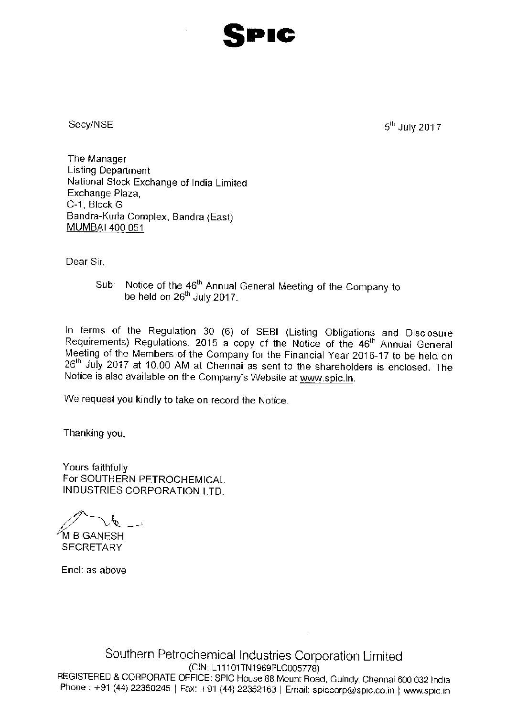

Secv/NSE

 $5^{th}$  July 2017

The Manager **Listing Department** National Stock Exchange of India Limited Exchange Plaza. C-1, Block G Bandra-Kurla Complex, Bandra (East) MUMBAI 400 051

Dear Sir.

Sub: Notice of the 46<sup>th</sup> Annual General Meeting of the Company to be held on  $26<sup>th</sup>$  July 2017.

In terms of the Regulation 30 (6) of SEBI (Listing Obligations and Disclosure Requirements) Regulations, 2015 a copy of the Notice of the 46<sup>th</sup> Annual General Meeting of the Members of the Company for the Financial Year 2016-17 to be held on 26<sup>th</sup> July 2017 at 10.00 AM at Chennai as sent to the shareholders is enclosed. The Notice is also available on the Company's Website at www.spic.in.

We request you kindly to take on record the Notice.

Thanking you,

Yours faithfully For SOUTHERN PETROCHEMICAL **INDUSTRIES CORPORATION LTD.** 

 $\phi$ M B GANESH

**SFCRETARY** 

Encl: as above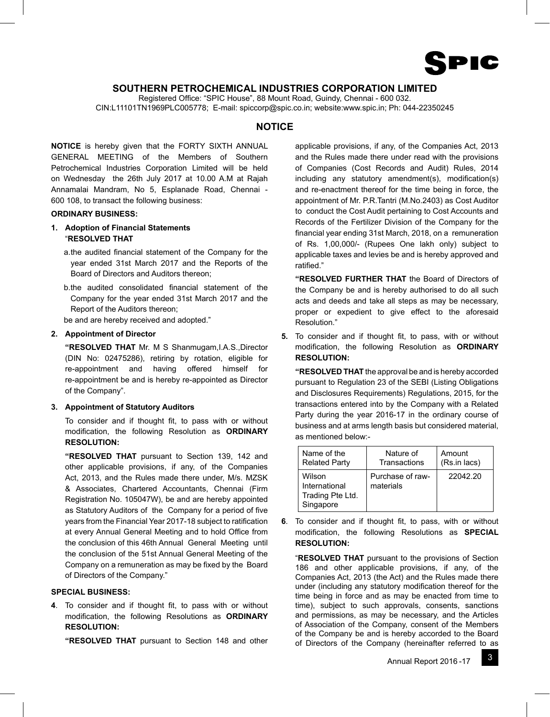

# **SOUTHERN PETROCHEMICAL INDUSTRIES CORPORATION LIMITED**

Registered Office: "SPIC House", 88 Mount Road, Guindy, Chennai - 600 032. CIN:L11101TN1969PLC005778; E-mail: spiccorp@spic.co.in; website:www.spic.in; Ph: 044-22350245

# **NOTICE**

**NOTICE** is hereby given that the FORTY SIXTH ANNUAL GENERAL MEETING of the Members of Southern Petrochemical Industries Corporation Limited will be held on Wednesday the 26th July 2017 at 10.00 A.M at Rajah Annamalai Mandram, No 5, Esplanade Road, Chennai - 600 108, to transact the following business:

## **ORDINARY BUSINESS:**

- **1. Adoption of Financial Statements** "**RESOLVED THAT**
	- a. the audited financial statement of the Company for the year ended 31st March 2017 and the Reports of the Board of Directors and Auditors thereon;
	- b. the audited consolidated financial statement of the Company for the year ended 31st March 2017 and the Report of the Auditors thereon;

be and are hereby received and adopted."

# **2. Appointment of Director**

 **"RESOLVED THAT** Mr. M S Shanmugam,I.A.S.,Director (DIN No: 02475286), retiring by rotation, eligible for re-appointment and having offered himself for re-appointment be and is hereby re-appointed as Director of the Company".

# **3. Appointment of Statutory Auditors**

To consider and if thought fit, to pass with or without modification, the following Resolution as ORDINARY **RESOLUTION:**

**"RESOLVED THAT** pursuant to Section 139, 142 and other applicable provisions, if any, of the Companies Act, 2013, and the Rules made there under, M/s. MZSK & Associates, Chartered Accountants, Chennai (Firm Registration No. 105047W), be and are hereby appointed as Statutory Auditors of the Company for a period of five years from the Financial Year 2017-18 subject to ratification at every Annual General Meeting and to hold Office from the conclusion of this 46th Annual General Meeting until the conclusion of the 51st Annual General Meeting of the Company on a remuneration as may be fixed by the Board of Directors of the Company."

# **SPECIAL BUSINESS:**

4. To consider and if thought fit, to pass with or without modification, the following Resolutions as ORDINARY **RESOLUTION:**

**"RESOLVED THAT** pursuant to Section 148 and other

applicable provisions, if any, of the Companies Act, 2013 and the Rules made there under read with the provisions of Companies (Cost Records and Audit) Rules, 2014  $including$  any statutory amendment(s), modification(s) and re-enactment thereof for the time being in force, the appointment of Mr. P.R.Tantri (M.No.2403) as Cost Auditor to conduct the Cost Audit pertaining to Cost Accounts and Records of the Fertilizer Division of the Company for the financial year ending 31st March, 2018, on a remuneration of Rs. 1,00,000/- (Rupees One lakh only) subject to applicable taxes and levies be and is hereby approved and ratified."

 **"RESOLVED FURTHER THAT** the Board of Directors of the Company be and is hereby authorised to do all such acts and deeds and take all steps as may be necessary, proper or expedient to give effect to the aforesaid Resolution."

**5.** To consider and if thought fit, to pass, with or without modification, the following Resolution as **ORDINARY RESOLUTION:**

 **"RESOLVED THAT** the approval be and is hereby accorded pursuant to Regulation 23 of the SEBI (Listing Obligations and Disclosures Requirements) Regulations, 2015, for the transactions entered into by the Company with a Related Party during the year 2016-17 in the ordinary course of business and at arms length basis but considered material, as mentioned below:-

| Name of the                                              | Nature of                     | Amount       |
|----------------------------------------------------------|-------------------------------|--------------|
| <b>Related Party</b>                                     | Transactions                  | (Rs.in lacs) |
| Wilson<br>International<br>Trading Pte Ltd.<br>Singapore | Purchase of raw-<br>materials | 22042.20     |

**6**. To consider and if thought fit, to pass, with or without modification, the following Resolutions as **SPECIAL RESOLUTION:**

 "**RESOLVED THAT** pursuant to the provisions of Section 186 and other applicable provisions, if any, of the Companies Act, 2013 (the Act) and the Rules made there under (including any statutory modification thereof for the time being in force and as may be enacted from time to time), subject to such approvals, consents, sanctions and permissions, as may be necessary, and the Articles of Association of the Company, consent of the Members of the Company be and is hereby accorded to the Board of Directors of the Company (hereinafter referred to as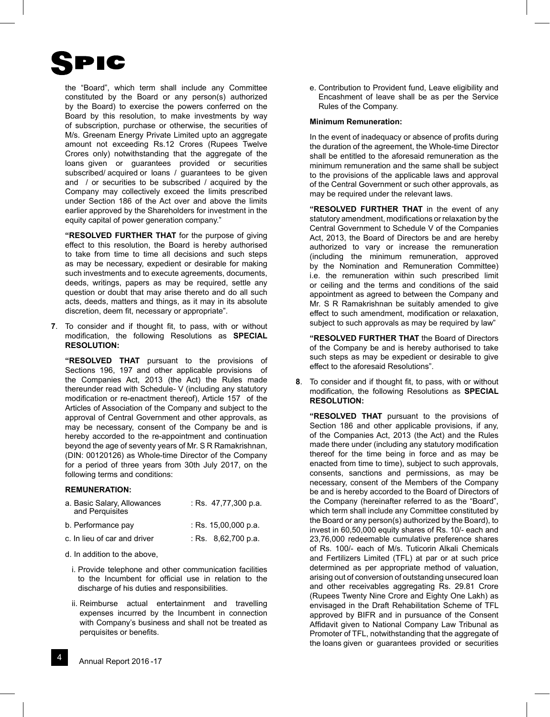

the "Board", which term shall include any Committee constituted by the Board or any person(s) authorized by the Board) to exercise the powers conferred on the Board by this resolution, to make investments by way of subscription, purchase or otherwise, the securities of M/s. Greenam Energy Private Limited upto an aggregate amount not exceeding Rs.12 Crores (Rupees Twelve Crores only) notwithstanding that the aggregate of the loans given or guarantees provided or securities subscribed/ acquired or loans / guarantees to be given and / or securities to be subscribed / acquired by the Company may collectively exceed the limits prescribed under Section 186 of the Act over and above the limits earlier approved by the Shareholders for investment in the equity capital of power generation company."

 **"RESOLVED FURTHER THAT** for the purpose of giving effect to this resolution, the Board is hereby authorised to take from time to time all decisions and such steps as may be necessary, expedient or desirable for making such investments and to execute agreements, documents, deeds, writings, papers as may be required, settle any question or doubt that may arise thereto and do all such acts, deeds, matters and things, as it may in its absolute discretion, deem fit, necessary or appropriate".

**7**. To consider and if thought fit, to pass, with or without modification, the following Resolutions as **SPECIAL RESOLUTION:**

 **"RESOLVED THAT** pursuant to the provisions of Sections 196, 197 and other applicable provisions of the Companies Act, 2013 (the Act) the Rules made thereunder read with Schedule- V (including any statutory modification or re-enactment thereof), Article 157 of the Articles of Association of the Company and subject to the approval of Central Government and other approvals, as may be necessary, consent of the Company be and is hereby accorded to the re-appointment and continuation beyond the age of seventy years of Mr. S R Ramakrishnan, (DIN: 00120126) as Whole-time Director of the Company for a period of three years from 30th July 2017, on the following terms and conditions:

## **REMUNERATION:**

| a. Basic Salary, Allowances<br>and Perquisites | : Rs. $47,77,300$ p.a.        |
|------------------------------------------------|-------------------------------|
| b. Performance pay                             | : Rs. $15,00,000$ p.a.        |
| c. In lieu of car and driver                   | : Rs. $8.62,700 \text{ p.a.}$ |

- d. In addition to the above,
	- i. Provide telephone and other communication facilities to the Incumbent for official use in relation to the discharge of his duties and responsibilities.
	- ii. Reimburse actual entertainment and travelling expenses incurred by the Incumbent in connection with Company's business and shall not be treated as perquisites or benefits.

 e. Contribution to Provident fund, Leave eligibility and Encashment of leave shall be as per the Service Rules of the Company.

## **Minimum Remuneration:**

In the event of inadequacy or absence of profits during the duration of the agreement, the Whole-time Director shall be entitled to the aforesaid remuneration as the minimum remuneration and the same shall be subject to the provisions of the applicable laws and approval of the Central Government or such other approvals, as may be required under the relevant laws.

 **"RESOLVED FURTHER THAT** in the event of any statutory amendment, modifications or relaxation by the Central Government to Schedule V of the Companies Act, 2013, the Board of Directors be and are hereby authorized to vary or increase the remuneration (including the minimum remuneration, approved by the Nomination and Remuneration Committee) i.e. the remuneration within such prescribed limit or ceiling and the terms and conditions of the said appointment as agreed to between the Company and Mr. S R Ramakrishnan be suitably amended to give effect to such amendment, modification or relaxation, subject to such approvals as may be required by law"

 **"RESOLVED FURTHER THAT** the Board of Directors of the Company be and is hereby authorised to take such steps as may be expedient or desirable to give effect to the aforesaid Resolutions".

**8**. To consider and if thought fit, to pass, with or without modification, the following Resolutions as **SPECIAL RESOLUTION:**

 **"RESOLVED THAT** pursuant to the provisions of Section 186 and other applicable provisions, if any, of the Companies Act, 2013 (the Act) and the Rules made there under (including any statutory modification thereof for the time being in force and as may be enacted from time to time), subject to such approvals, consents, sanctions and permissions, as may be necessary, consent of the Members of the Company be and is hereby accorded to the Board of Directors of the Company (hereinafter referred to as the "Board", which term shall include any Committee constituted by the Board or any person(s) authorized by the Board), to invest in 60,50,000 equity shares of Rs. 10/- each and 23,76,000 redeemable cumulative preference shares of Rs. 100/- each of M/s. Tuticorin Alkali Chemicals and Fertilizers Limited (TFL) at par or at such price determined as per appropriate method of valuation, arising out of conversion of outstanding unsecured loan and other receivables aggregating Rs. 29.81 Crore (Rupees Twenty Nine Crore and Eighty One Lakh) as envisaged in the Draft Rehabilitation Scheme of TFL approved by BIFR and in pursuance of the Consent Affidavit given to National Company Law Tribunal as Promoter of TFL, notwithstanding that the aggregate of the loans given or guarantees provided or securities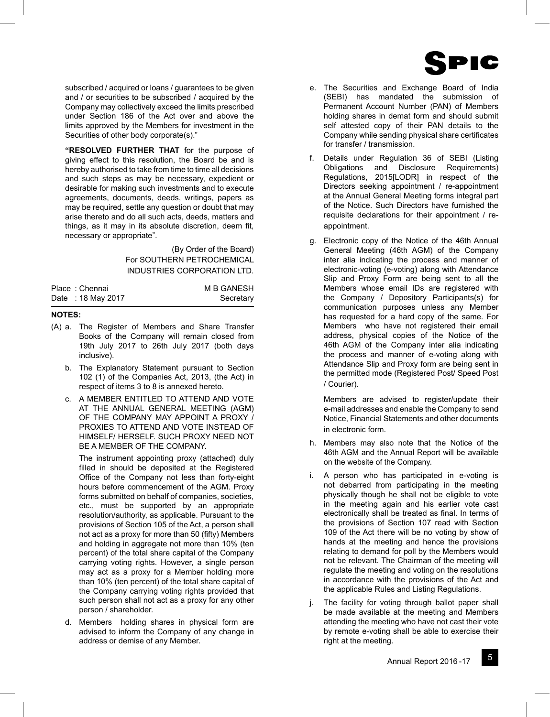

subscribed / acquired or loans / guarantees to be given and / or securities to be subscribed / acquired by the Company may collectively exceed the limits prescribed under Section 186 of the Act over and above the limits approved by the Members for investment in the Securities of other body corporate(s)."

 **"RESOLVED FURTHER THAT** for the purpose of giving effect to this resolution, the Board be and is hereby authorised to take from time to time all decisions and such steps as may be necessary, expedient or desirable for making such investments and to execute agreements, documents, deeds, writings, papers as may be required, settle any question or doubt that may arise thereto and do all such acts, deeds, matters and things, as it may in its absolute discretion, deem fit, necessary or appropriate".

> (By Order of the Board) For SOUTHERN PETROCHEMICAL INDUSTRIES CORPORATION LTD.

| Place: Chennai    | <b>M B GANESH</b> |
|-------------------|-------------------|
| Date: 18 May 2017 | Secretary         |

## **NOTES:**

- (A) a. The Register of Members and Share Transfer Books of the Company will remain closed from 19th July 2017 to 26th July 2017 (both days inclusive).
	- b. The Explanatory Statement pursuant to Section 102 (1) of the Companies Act, 2013, (the Act) in respect of items 3 to 8 is annexed hereto.
	- c. A MEMBER ENTITLED TO ATTEND AND VOTE AT THE ANNUAL GENERAL MEETING (AGM) OF THE COMPANY MAY APPOINT A PROXY / PROXIES TO ATTEND AND VOTE INSTEAD OF HIMSELF/ HERSELF. SUCH PROXY NEED NOT BE A MEMBER OF THE COMPANY.

 The instrument appointing proxy (attached) duly filled in should be deposited at the Registered Office of the Company not less than forty-eight hours before commencement of the AGM. Proxy forms submitted on behalf of companies, societies, etc., must be supported by an appropriate resolution/authority, as applicable. Pursuant to the provisions of Section 105 of the Act, a person shall not act as a proxy for more than 50 (fifty) Members and holding in aggregate not more than 10% (ten percent) of the total share capital of the Company carrying voting rights. However, a single person may act as a proxy for a Member holding more than 10% (ten percent) of the total share capital of the Company carrying voting rights provided that such person shall not act as a proxy for any other person / shareholder.

 d. Members holding shares in physical form are advised to inform the Company of any change in address or demise of any Member.

- e. The Securities and Exchange Board of India (SEBI) has mandated the submission of Permanent Account Number (PAN) of Members holding shares in demat form and should submit self attested copy of their PAN details to the Company while sending physical share certificates for transfer / transmission.
- f. Details under Regulation 36 of SEBI (Listing Obligations and Disclosure Requirements) Regulations, 2015[LODR] in respect of the Directors seeking appointment / re-appointment at the Annual General Meeting forms integral part of the Notice. Such Directors have furnished the requisite declarations for their appointment / reappointment.
- g. Electronic copy of the Notice of the 46th Annual General Meeting (46th AGM) of the Company inter alia indicating the process and manner of electronic-voting (e-voting) along with Attendance Slip and Proxy Form are being sent to all the Members whose email IDs are registered with the Company / Depository Participants(s) for communication purposes unless any Member has requested for a hard copy of the same. For Members who have not registered their email address, physical copies of the Notice of the 46th AGM of the Company inter alia indicating the process and manner of e-voting along with Attendance Slip and Proxy form are being sent in the permitted mode (Registered Post/ Speed Post / Courier).

Members are advised to register/update their e-mail addresses and enable the Company to send Notice, Financial Statements and other documents in electronic form.

- h. Members may also note that the Notice of the 46th AGM and the Annual Report will be available on the website of the Company.
- i. A person who has participated in e-voting is not debarred from participating in the meeting physically though he shall not be eligible to vote in the meeting again and his earlier vote cast electronically shall be treated as final. In terms of the provisions of Section 107 read with Section 109 of the Act there will be no voting by show of hands at the meeting and hence the provisions relating to demand for poll by the Members would not be relevant. The Chairman of the meeting will regulate the meeting and voting on the resolutions in accordance with the provisions of the Act and the applicable Rules and Listing Regulations.
- j. The facility for voting through ballot paper shall be made available at the meeting and Members attending the meeting who have not cast their vote by remote e-voting shall be able to exercise their right at the meeting.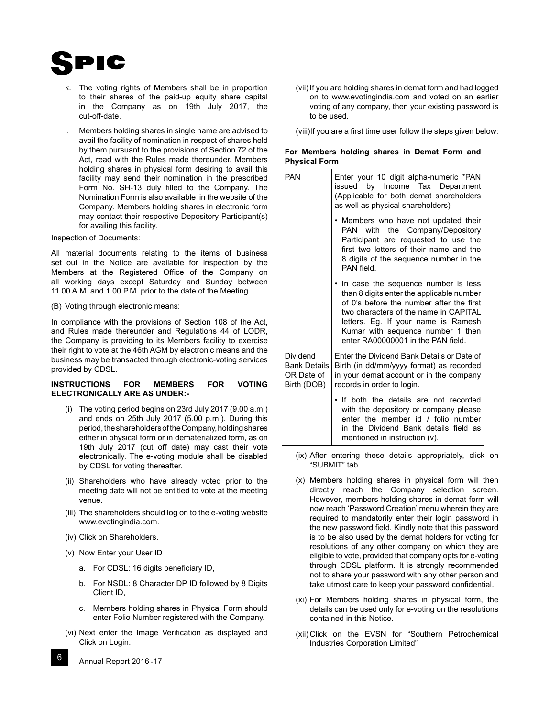

- k. The voting rights of Members shall be in proportion to their shares of the paid-up equity share capital in the Company as on 19th July 2017, the cut-off-date.
- l. Members holding shares in single name are advised to avail the facility of nomination in respect of shares held by them pursuant to the provisions of Section 72 of the Act, read with the Rules made thereunder. Members holding shares in physical form desiring to avail this facility may send their nomination in the prescribed Form No. SH-13 duly filled to the Company. The Nomination Form is also available in the website of the Company. Members holding shares in electronic form may contact their respective Depository Participant(s) for availing this facility.
- Inspection of Documents:

All material documents relating to the items of business set out in the Notice are available for inspection by the Members at the Registered Office of the Company on all working days except Saturday and Sunday between 11.00 A.M. and 1.00 P.M. prior to the date of the Meeting.

(B) Voting through electronic means:

In compliance with the provisions of Section 108 of the Act, and Rules made thereunder and Regulations 44 of LODR, the Company is providing to its Members facility to exercise their right to vote at the 46th AGM by electronic means and the business may be transacted through electronic-voting services provided by CDSL.

## **INSTRUCTIONS FOR MEMBERS FOR VOTING ELECTRONICALLY ARE AS UNDER:-**

- (i) The voting period begins on 23rd July 2017 (9.00 a.m.) and ends on 25th July 2017 (5.00 p.m.). During this period, the shareholders of the Company, holding shares either in physical form or in dematerialized form, as on 19th July 2017 (cut off date) may cast their vote electronically. The e-voting module shall be disabled by CDSL for voting thereafter.
- (ii) Shareholders who have already voted prior to the meeting date will not be entitled to vote at the meeting venue.
- (iii) The shareholders should log on to the e-voting website www.evotingindia.com.
- (iv) Click on Shareholders.
- (v) Now Enter your User ID
	- a. For CDSL: 16 digits beneficiary ID,
	- b. For NSDL: 8 Character DP ID followed by 8 Digits Client ID,
	- c. Members holding shares in Physical Form should enter Folio Number registered with the Company.
- (vi) Next enter the Image Verification as displayed and Click on Login.
- 6 Annual Report 2016 -17

 (vii) If you are holding shares in demat form and had logged on to www.evotingindia.com and voted on an earlier voting of any company, then your existing password is to be used.

(viii) If you are a first time user follow the steps given below:

| For Members holding shares in Demat Form and<br><b>Physical Form</b> |  |                                        |
|----------------------------------------------------------------------|--|----------------------------------------|
| <b>PAN</b>                                                           |  | Enter your 10 digit alpha-numeric *PAN |

|                                                              | issued by Income Tax Department<br>(Applicable for both demat shareholders<br>as well as physical shareholders)                                                                                                                                                                                      |
|--------------------------------------------------------------|------------------------------------------------------------------------------------------------------------------------------------------------------------------------------------------------------------------------------------------------------------------------------------------------------|
|                                                              | • Members who have not updated their<br>with the Company/Depository<br>PAN<br>Participant are requested to use the<br>first two letters of their name and the<br>8 digits of the sequence number in the<br>PAN field.                                                                                |
|                                                              | In case the sequence number is less<br>$\bullet$<br>than 8 digits enter the applicable number<br>of 0's before the number after the first<br>two characters of the name in CAPITAL<br>letters. Eg. If your name is Ramesh<br>Kumar with sequence number 1 then<br>enter RA00000001 in the PAN field. |
| Dividend<br><b>Bank Details</b><br>OR Date of<br>Birth (DOB) | Enter the Dividend Bank Details or Date of<br>Birth (in dd/mm/yyyy format) as recorded<br>in your demat account or in the company<br>records in order to login.                                                                                                                                      |
|                                                              | • If both the details are not recorded<br>with the depository or company please<br>enter the member id / folio number<br>in the Dividend Bank details field as<br>mentioned in instruction (v).                                                                                                      |

- (ix) After entering these details appropriately, click on "SUBMIT" tab.
- (x) Members holding shares in physical form will then directly reach the Company selection screen. However, members holding shares in demat form will now reach 'Password Creation' menu wherein they are required to mandatorily enter their login password in the new password field. Kindly note that this password is to be also used by the demat holders for voting for resolutions of any other company on which they are eligible to vote, provided that company opts for e-voting through CDSL platform. It is strongly recommended not to share your password with any other person and take utmost care to keep your password confidential.
- (xi) For Members holding shares in physical form, the details can be used only for e-voting on the resolutions contained in this Notice.
- (xii) Click on the EVSN for "Southern Petrochemical Industries Corporation Limited"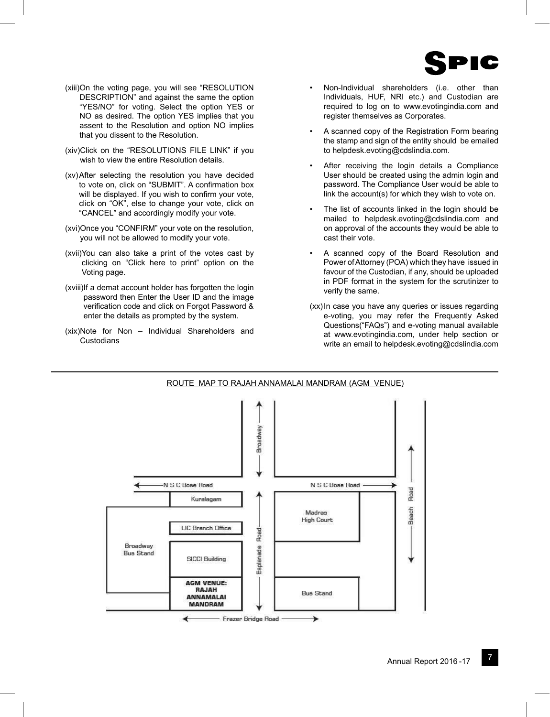

- (xiii) On the voting page, you will see "RESOLUTION DESCRIPTION" and against the same the option "YES/NO" for voting. Select the option YES or NO as desired. The option YES implies that you assent to the Resolution and option NO implies that you dissent to the Resolution.
- (xiv) Click on the "RESOLUTIONS FILE LINK" if you wish to view the entire Resolution details.
- (xv) After selecting the resolution you have decided to vote on, click on "SUBMIT". A confirmation box will be displayed. If you wish to confirm your vote, click on "OK", else to change your vote, click on "CANCEL" and accordingly modify your vote.
- (xvi) Once you "CONFIRM" your vote on the resolution, you will not be allowed to modify your vote.
- (xvii) You can also take a print of the votes cast by clicking on "Click here to print" option on the Voting page.
- (xviii) If a demat account holder has forgotten the login password then Enter the User ID and the image verification code and click on Forgot Password & enter the details as prompted by the system.
- (xix) Note for Non Individual Shareholders and **Custodians**
- Non-Individual shareholders (i.e. other than Individuals, HUF, NRI etc.) and Custodian are required to log on to www.evotingindia.com and register themselves as Corporates.
- A scanned copy of the Registration Form bearing the stamp and sign of the entity should be emailed to helpdesk.evoting@cdslindia.com.
- After receiving the login details a Compliance User should be created using the admin login and password. The Compliance User would be able to link the account(s) for which they wish to vote on.
- The list of accounts linked in the login should be mailed to helpdesk.evoting@cdslindia.com and on approval of the accounts they would be able to cast their vote.
- A scanned copy of the Board Resolution and Power of Attorney (POA) which they have issued in favour of the Custodian, if any, should be uploaded in PDF format in the system for the scrutinizer to verify the same.
- (xx) In case you have any queries or issues regarding e-voting, you may refer the Frequently Asked Questions("FAQs") and e-voting manual available at www.evotingindia.com, under help section or write an email to helpdesk.evoting@cdslindia.com

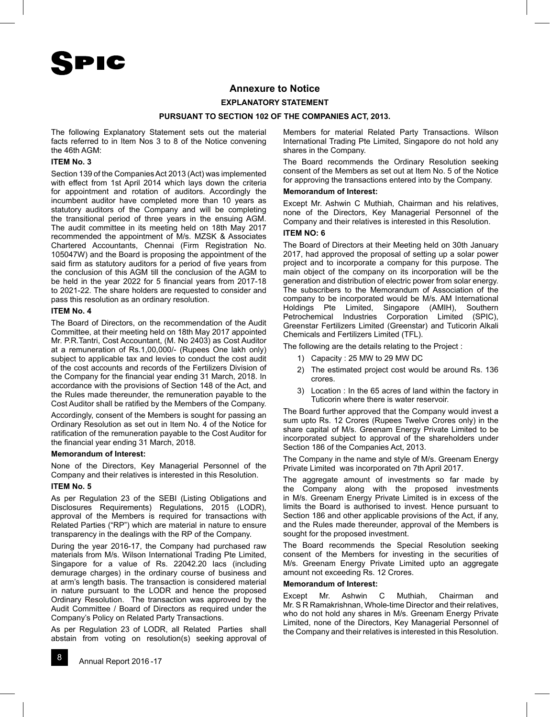

# **Annexure to Notice**

## **EXPLANATORY STATEMENT**

#### **PURSUANT TO SECTION 102 OF THE COMPANIES ACT, 2013.**

The following Explanatory Statement sets out the material facts referred to in Item Nos 3 to 8 of the Notice convening the 46th AGM:

# **ITEM No. 3**

Section 139 of the Companies Act 2013 (Act) was implemented with effect from 1st April 2014 which lays down the criteria for appointment and rotation of auditors. Accordingly the incumbent auditor have completed more than 10 years as statutory auditors of the Company and will be completing the transitional period of three years in the ensuing AGM. The audit committee in its meeting held on 18th May 2017 recommended the appointment of M/s. MZSK & Associates Chartered Accountants, Chennai (Firm Registration No. 105047W) and the Board is proposing the appointment of the said firm as statutory auditors for a period of five years from the conclusion of this AGM till the conclusion of the AGM to be held in the year 2022 for 5 financial years from 2017-18 to 2021-22. The share holders are requested to consider and pass this resolution as an ordinary resolution.

#### **ITEM No. 4**

The Board of Directors, on the recommendation of the Audit Committee, at their meeting held on 18th May 2017 appointed Mr. P.R.Tantri, Cost Accountant, (M. No 2403) as Cost Auditor at a remuneration of Rs.1,00,000/- (Rupees One lakh only) subject to applicable tax and levies to conduct the cost audit of the cost accounts and records of the Fertilizers Division of the Company for the financial year ending 31 March, 2018. In accordance with the provisions of Section 148 of the Act, and the Rules made thereunder, the remuneration payable to the Cost Auditor shall be ratified by the Members of the Company.

Accordingly, consent of the Members is sought for passing an Ordinary Resolution as set out in Item No. 4 of the Notice for ratification of the remuneration payable to the Cost Auditor for the financial year ending 31 March, 2018.

#### **Memorandum of Interest:**

None of the Directors, Key Managerial Personnel of the Company and their relatives is interested in this Resolution.

#### **ITEM No. 5**

As per Regulation 23 of the SEBI (Listing Obligations and Disclosures Requirements) Regulations, 2015 (LODR), approval of the Members is required for transactions with Related Parties ("RP") which are material in nature to ensure transparency in the dealings with the RP of the Company.

During the year 2016-17, the Company had purchased raw materials from M/s. Wilson International Trading Pte Limited, Singapore for a value of Rs. 22042.20 lacs (including demurage charges) in the ordinary course of business and at arm's length basis. The transaction is considered material in nature pursuant to the LODR and hence the proposed Ordinary Resolution. The transaction was approved by the Audit Committee / Board of Directors as required under the Company's Policy on Related Party Transactions.

As per Regulation 23 of LODR, all Related Parties shall abstain from voting on resolution(s) seeking approval of

Members for material Related Party Transactions. Wilson International Trading Pte Limited, Singapore do not hold any shares in the Company.

The Board recommends the Ordinary Resolution seeking consent of the Members as set out at Item No. 5 of the Notice for approving the transactions entered into by the Company.

## **Memorandum of Interest:**

Except Mr. Ashwin C Muthiah, Chairman and his relatives, none of the Directors, Key Managerial Personnel of the Company and their relatives is interested in this Resolution.

#### **ITEM NO: 6**

The Board of Directors at their Meeting held on 30th January 2017, had approved the proposal of setting up a solar power project and to incorporate a company for this purpose. The main object of the company on its incorporation will be the generation and distribution of electric power from solar energy. The subscribers to the Memorandum of Association of the company to be incorporated would be M/s. AM International Holdings Pte Limited, Singapore (AMIH), Southern Petrochemical Industries Corporation Limited (SPIC), Greenstar Fertilizers Limited (Greenstar) and Tuticorin Alkali Chemicals and Fertilizers Limited (TFL).

The following are the details relating to the Project :

- 1) Capacity : 25 MW to 29 MW DC
- 2) The estimated project cost would be around Rs. 136 crores.
- 3) Location : In the 65 acres of land within the factory in Tuticorin where there is water reservoir.

The Board further approved that the Company would invest a sum upto Rs. 12 Crores (Rupees Twelve Crores only) in the share capital of M/s. Greenam Energy Private Limited to be incorporated subject to approval of the shareholders under Section 186 of the Companies Act, 2013.

The Company in the name and style of M/s. Greenam Energy Private Limited was incorporated on 7th April 2017.

The aggregate amount of investments so far made by the Company along with the proposed investments in M/s. Greenam Energy Private Limited is in excess of the limits the Board is authorised to invest. Hence pursuant to Section 186 and other applicable provisions of the Act, if any, and the Rules made thereunder, approval of the Members is sought for the proposed investment.

The Board recommends the Special Resolution seeking consent of the Members for investing in the securities of M/s. Greenam Energy Private Limited upto an aggregate amount not exceeding Rs. 12 Crores.

## **Memorandum of Interest:**

Except Mr. Ashwin C Muthiah, Chairman and Mr. S R Ramakrishnan, Whole-time Director and their relatives, who do not hold any shares in M/s. Greenam Energy Private Limited, none of the Directors, Key Managerial Personnel of the Company and their relatives is interested in this Resolution.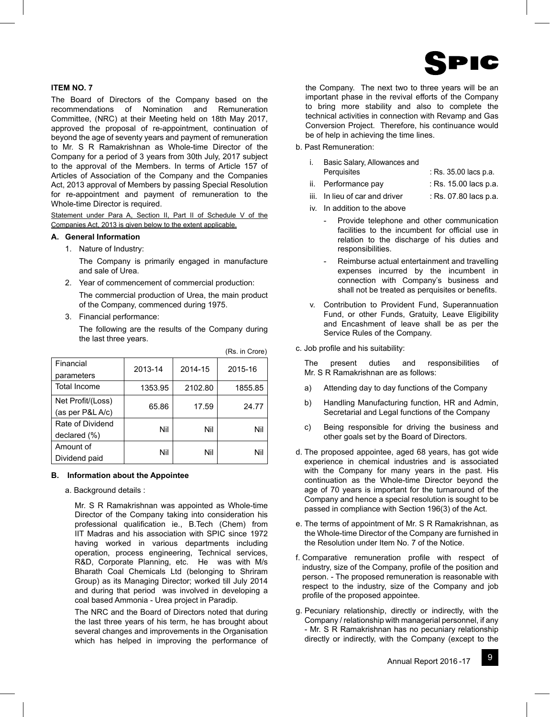

# **ITEM NO. 7**

The Board of Directors of the Company based on the recommendations of Nomination and Remuneration Committee, (NRC) at their Meeting held on 18th May 2017, approved the proposal of re-appointment, continuation of beyond the age of seventy years and payment of remuneration to Mr. S R Ramakrishnan as Whole-time Director of the Company for a period of 3 years from 30th July, 2017 subject to the approval of the Members. In terms of Article 157 of Articles of Association of the Company and the Companies Act, 2013 approval of Members by passing Special Resolution for re-appointment and payment of remuneration to the Whole-time Director is required.

Statement under Para A, Section II, Part II of Schedule V of the Companies Act, 2013 is given below to the extent applicable.

## **A. General Information**

1. Nature of Industry:

 The Company is primarily engaged in manufacture and sale of Urea.

- 2. Year of commencement of commercial production: The commercial production of Urea, the main product of the Company, commenced during 1975.
- 3. Financial performance:

 The following are the results of the Company during the last three years.

(Rs. in Crore)

| Financial<br>parameters               | 2013-14 | 2014-15 | 2015-16 |
|---------------------------------------|---------|---------|---------|
| <b>Total Income</b>                   | 1353.95 | 2102.80 | 1855.85 |
| Net Profit/(Loss)<br>(as per P&L A/c) | 65.86   | 17.59   | 24.77   |
| Rate of Dividend<br>declared (%)      | Nil     | Nil     | Nil     |
| Amount of<br>Dividend paid            | Nil     | Nil     | Nil     |

## **B. Information about the Appointee**

a. Background details :

 Mr. S R Ramakrishnan was appointed as Whole-time Director of the Company taking into consideration his professional qualification ie., B.Tech (Chem) from IIT Madras and his association with SPIC since 1972 having worked in various departments including operation, process engineering, Technical services, R&D, Corporate Planning, etc. He was with M/s Bharath Coal Chemicals Ltd (belonging to Shriram Group) as its Managing Director; worked till July 2014 and during that period was involved in developing a coal based Ammonia - Urea project in Paradip.

 The NRC and the Board of Directors noted that during the last three years of his term, he has brought about several changes and improvements in the Organisation which has helped in improving the performance of

the Company. The next two to three years will be an important phase in the revival efforts of the Company to bring more stability and also to complete the technical activities in connection with Revamp and Gas Conversion Project. Therefore, his continuance would be of help in achieving the time lines.

b. Past Remuneration:

|  | Basic Salary, Allowances and |                       |
|--|------------------------------|-----------------------|
|  | Perquisites                  | : Rs. 35.00 lacs p.a. |
|  |                              | $\cdots$              |

- ii. Performance pay : Rs. 15.00 lacs p.a.
- iii. In lieu of car and driver : Rs. 07.80 lacs p.a.
- iv. In addition to the above
	- Provide telephone and other communication facilities to the incumbent for official use in relation to the discharge of his duties and responsibilities.
	- Reimburse actual entertainment and travelling expenses incurred by the incumbent in connection with Company's business and shall not be treated as perquisites or benefits.
- v. Contribution to Provident Fund, Superannuation Fund, or other Funds, Gratuity, Leave Eligibility and Encashment of leave shall be as per the Service Rules of the Company.
- c. Job profile and his suitability:

 The present duties and responsibilities of Mr. S R Ramakrishnan are as follows:

- a) Attending day to day functions of the Company
- b) Handling Manufacturing function, HR and Admin, Secretarial and Legal functions of the Company
- c) Being responsible for driving the business and other goals set by the Board of Directors.
- d. The proposed appointee, aged 68 years, has got wide experience in chemical industries and is associated with the Company for many years in the past. His continuation as the Whole-time Director beyond the age of 70 years is important for the turnaround of the Company and hence a special resolution is sought to be passed in compliance with Section 196(3) of the Act.
- e. The terms of appointment of Mr. S R Ramakrishnan, as the Whole-time Director of the Company are furnished in the Resolution under Item No. 7 of the Notice.
- f. Comparative remuneration profile with respect of industry, size of the Company, profile of the position and person. - The proposed remuneration is reasonable with respect to the industry, size of the Company and job profile of the proposed appointee.
- g. Pecuniary relationship, directly or indirectly, with the Company / relationship with managerial personnel, if any - Mr. S R Ramakrishnan has no pecuniary relationship directly or indirectly, with the Company (except to the